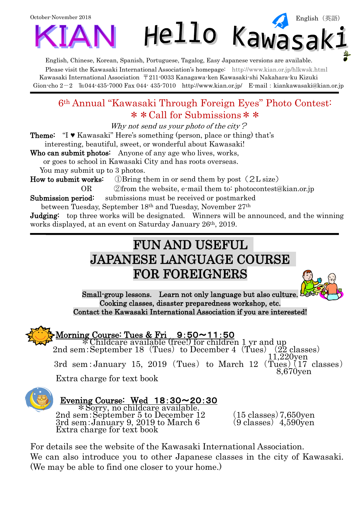

English, Chinese, Korean, Spanish, Portuguese, Tagalog, Easy Japanese versions are available. Please visit the Kawasaki International Association's homepage: <http://www.kian.or.jp/hlkwsk.html> Kawasaki International Association 〒211-0033 Kanagawa-ken Kawasaki-shi Nakahara-ku Kizuki Gion-cho  $2-2$  Eu044-435-7000 Fax 044-435-7010 <http://www.kian.or.jp/>E-mail: kiankawasaki@kian.or.jp

### 6th Annual "Kawasaki Through Foreign Eyes" Photo Contest: \* \* Call for Submissions \* \*

Why not send us your photo of the city?

Theme: "I ♥ Kawasaki" Here's something (person, place or thing) that's interesting, beautiful, sweet, or wonderful about Kawasaki!

Who can submit photos: Anyone of any age who lives, works,

or goes to school in Kawasaki City and has roots overseas.

You may submit up to 3 photos.

How to submit works:  $\Box$  DB ring them in or send them by post (2L size)

OR ②from the website, e-mail them to: [photocontest@kian.or.jp](mailto:photocontest@kian.or.jp)

Submission period: submissions must be received or postmarked

between Tuesday, September 18th and Tuesday, November 27th

**Judging:** top three works will be designated. Winners will be announced, and the winning works displayed, at an event on Saturday January 26th, 2019.

# FUN AND USEFUL JAPANESE LANGUAGE COURSE FOR FOREIGNERS



Morning Course: Tues & Fri  $9:50 \sim 11:50$ \*Childcare available (free!) for children 1 yr and up 2nd sem: September 18  $(Tues)$  to December 4  $(Tues)$ 11,220yen 3rd sem: January 15, 2019 (Tues) to March 12  $(\overline{\text{Tues}})(17 \text{ classes})$ 8,670yen

Extra charge for text book



j

#### $\overline{a}$ Evening Course: Wed 18:30~20:30

\*Sorry, no childcare available. 2nd sem: September 5 to December 12 (15 classes) 7,650yen  $\overline{3}$ rd sem:January 9, 2019 to March 6 (9 classes) 4,590yen Extra charge for text book

For details see the website of the Kawasaki International Association. We can also introduce you to other Japanese classes in the city of Kawasaki. (We may be able to find one closer to your home.)